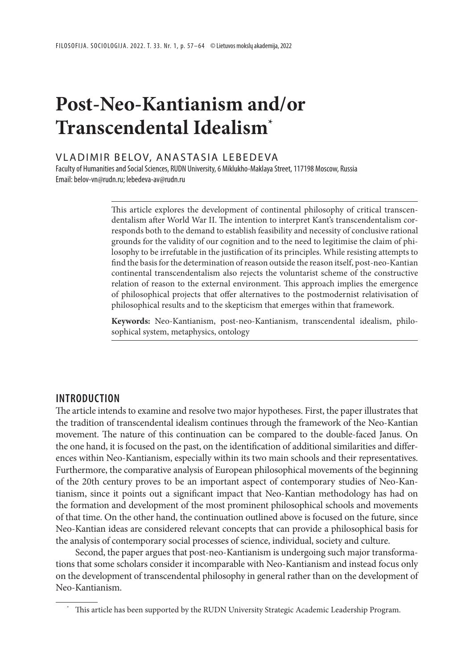# **Post-Neo-Kantianism and/or Transcendental Idealism\***

## VLADIMIR BELOV, ANASTASIA LEBEDEVA

Faculty of Humanities and Social Sciences, RUDN University, 6 Miklukho-Maklaya Street, 117198 Moscow, Russia Email: belov-vn@rudn.ru; lebedeva-av@rudn.ru

> This article explores the development of continental philosophy of critical transcendentalism after World War II. The intention to interpret Kant's transcendentalism corresponds both to the demand to establish feasibility and necessity of conclusive rational grounds for the validity of our cognition and to the need to legitimise the claim of philosophy to be irrefutable in the justification of its principles. While resisting attempts to find the basis for the determination of reason outside the reason itself, post-neo-Kantian continental transcendentalism also rejects the voluntarist scheme of the constructive relation of reason to the external environment. This approach implies the emergence of philosophical projects that offer alternatives to the postmodernist relativisation of philosophical results and to the skepticism that emerges within that framework.

> **Keywords:** Neo-Kantianism, post-neo-Kantianism, transcendental idealism, philosophical system, metaphysics, ontology

# **INTRODUCTION**

The article intends to examine and resolve two major hypotheses. First, the paper illustrates that the tradition of transcendental idealism continues through the framework of the Neo-Kantian movement. The nature of this continuation can be compared to the double-faced Janus. On the one hand, it is focused on the past, on the identification of additional similarities and differences within Neo-Kantianism, especially within its two main schools and their representatives. Furthermore, the comparative analysis of European philosophical movements of the beginning of the 20th century proves to be an important aspect of contemporary studies of Neo-Kantianism, since it points out a significant impact that Neo-Kantian methodology has had on the formation and development of the most prominent philosophical schools and movements of that time. On the other hand, the continuation outlined above is focused on the future, since Neo-Kantian ideas are considered relevant concepts that can provide a philosophical basis for the analysis of contemporary social processes of science, individual, society and culture.

Second, the paper argues that post-neo-Kantianism is undergoing such major transformations that some scholars consider it incomparable with Neo-Kantianism and instead focus only on the development of transcendental philosophy in general rather than on the development of Neo-Kantianism.

<sup>\*</sup> This article has been supported by the RUDN University Strategic Academic Leadership Program.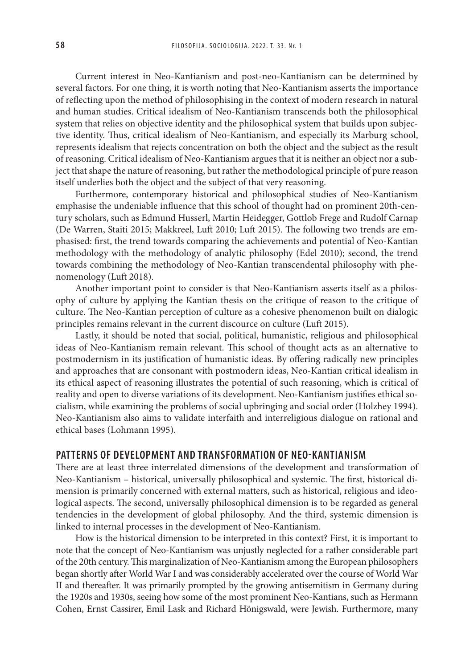Current interest in Neo-Kantianism and post-neo-Kantianism can be determined by several factors. For one thing, it is worth noting that Neo-Kantianism asserts the importance of reflecting upon the method of philosophising in the context of modern research in natural and human studies. Critical idealism of Neo-Kantianism transcends both the philosophical system that relies on objective identity and the philosophical system that builds upon subjective identity. Thus, critical idealism of Neo-Kantianism, and especially its Marburg school, represents idealism that rejects concentration on both the object and the subject as the result of reasoning. Critical idealism of Neo-Kantianism argues that it is neither an object nor a subject that shape the nature of reasoning, but rather the methodological principle of pure reason itself underlies both the object and the subject of that very reasoning.

Furthermore, contemporary historical and philosophical studies of Neo-Kantianism emphasise the undeniable influence that this school of thought had on prominent 20th-century scholars, such as Edmund Husserl, Martin Heidegger, Gottlob Frege and Rudolf Carnap (De Warren, Staiti 2015; Makkreel, Luft 2010; Luft 2015). The following two trends are emphasised: first, the trend towards comparing the achievements and potential of Neo-Kantian methodology with the methodology of analytic philosophy (Edel 2010); second, the trend towards combining the methodology of Neo-Kantian transcendental philosophy with phenomenology (Luft 2018).

Another important point to consider is that Neo-Kantianism asserts itself as a philosophy of culture by applying the Kantian thesis on the critique of reason to the critique of culture. The Neo-Kantian perception of culture as a cohesive phenomenon built on dialogic principles remains relevant in the current discource on culture (Luft 2015).

Lastly, it should be noted that social, political, humanistic, religious and philosophical ideas of Neo-Kantianism remain relevant. This school of thought acts as an alternative to postmodernism in its justification of humanistic ideas. By offering radically new principles and approaches that are consonant with postmodern ideas, Neo-Kantian critical idealism in its ethical aspect of reasoning illustrates the potential of such reasoning, which is critical of reality and open to diverse variations of its development. Neo-Kantianism justifies ethical socialism, while examining the problems of social upbringing and social order (Holzhey 1994). Neo-Kantianism also aims to validate interfaith and interreligious dialogue on rational and ethical bases (Lohmann 1995).

# **PATTERNS OF DEVELOPMENT AND TRANSFORMATION OF NEO-KANTIANISM**

There are at least three interrelated dimensions of the development and transformation of Neo-Kantianism – historical, universally philosophical and systemic. The first, historical dimension is primarily concerned with external matters, such as historical, religious and ideological aspects. The second, universally philosophical dimension is to be regarded as general tendencies in the development of global philosophy. And the third, systemic dimension is linked to internal processes in the development of Neo-Kantianism.

How is the historical dimension to be interpreted in this context? First, it is important to note that the concept of Neo-Kantianism was unjustly neglected for a rather considerable part of the 20th century. This marginalization of Neo-Kantianism among the European philosophers began shortly after World War I and was considerably accelerated over the course of World War II and thereafter. It was primarily prompted by the growing antisemitism in Germany during the 1920s and 1930s, seeing how some of the most prominent Neo-Kantians, such as Hermann Cohen, Ernst Cassirer, Emil Lask and Richard Hönigswald, were Jewish. Furthermore, many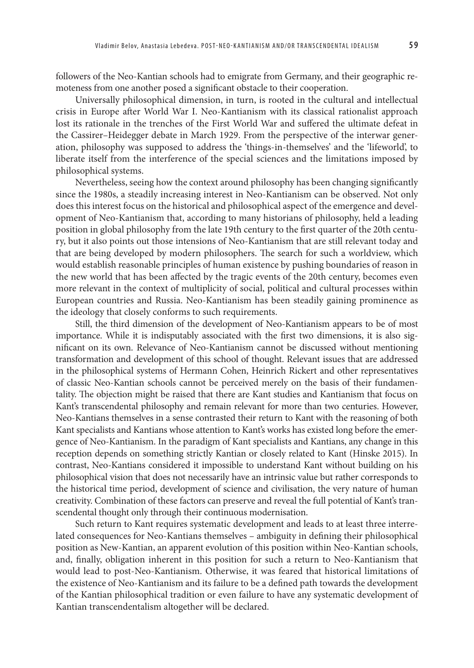followers of the Neo-Kantian schools had to emigrate from Germany, and their geographic remoteness from one another posed a significant obstacle to their cooperation.

Universally philosophical dimension, in turn, is rooted in the cultural and intellectual crisis in Europe after World War I. Neo-Kantianism with its classical rationalist approach lost its rationale in the trenches of the First World War and suffered the ultimate defeat in the Cassirer–Heidegger debate in March 1929. From the perspective of the interwar generation, philosophy was supposed to address the 'things-in-themselves' and the 'lifeworld', to liberate itself from the interference of the special sciences and the limitations imposed by philosophical systems.

Nevertheless, seeing how the context around philosophy has been changing significantly since the 1980s, a steadily increasing interest in Neo-Kantianism can be observed. Not only does this interest focus on the historical and philosophical aspect of the emergence and development of Neo-Kantianism that, according to many historians of philosophy, held a leading position in global philosophy from the late 19th century to the first quarter of the 20th century, but it also points out those intensions of Neo-Kantianism that are still relevant today and that are being developed by modern philosophers. The search for such a worldview, which would establish reasonable principles of human existence by pushing boundaries of reason in the new world that has been affected by the tragic events of the 20th century, becomes even more relevant in the context of multiplicity of social, political and cultural processes within European countries and Russia. Neo-Kantianism has been steadily gaining prominence as the ideology that closely conforms to such requirements.

Still, the third dimension of the development of Neo-Kantianism appears to be of most importance. While it is indisputably associated with the first two dimensions, it is also significant on its own. Relevance of Neo-Kantianism cannot be discussed without mentioning transformation and development of this school of thought. Relevant issues that are addressed in the philosophical systems of Hermann Cohen, Heinrich Rickert and other representatives of classic Neo-Kantian schools cannot be perceived merely on the basis of their fundamentality. The objection might be raised that there are Kant studies and Kantianism that focus on Kant's transcendental philosophy and remain relevant for more than two centuries. However, Neo-Kantians themselves in a sense contrasted their return to Kant with the reasoning of both Kant specialists and Kantians whose attention to Kant's works has existed long before the emergence of Neo-Kantianism. In the paradigm of Kant specialists and Kantians, any change in this reception depends on something strictly Kantian or closely related to Kant (Hinske 2015). In contrast, Neo-Kantians considered it impossible to understand Kant without building on his philosophical vision that does not necessarily have an intrinsic value but rather corresponds to the historical time period, development of science and civilisation, the very nature of human creativity. Combination of these factors can preserve and reveal the full potential of Kant's transcendental thought only through their continuous modernisation.

Such return to Kant requires systematic development and leads to at least three interrelated consequences for Neo-Kantians themselves – ambiguity in defining their philosophical position as New-Kantian, an apparent evolution of this position within Neo-Kantian schools, and, finally, obligation inherent in this position for such a return to Neo-Kantianism that would lead to post-Neo-Kantianism. Otherwise, it was feared that historical limitations of the existence of Neo-Kantianism and its failure to be a defined path towards the development of the Kantian philosophical tradition or even failure to have any systematic development of Kantian transcendentalism altogether will be declared.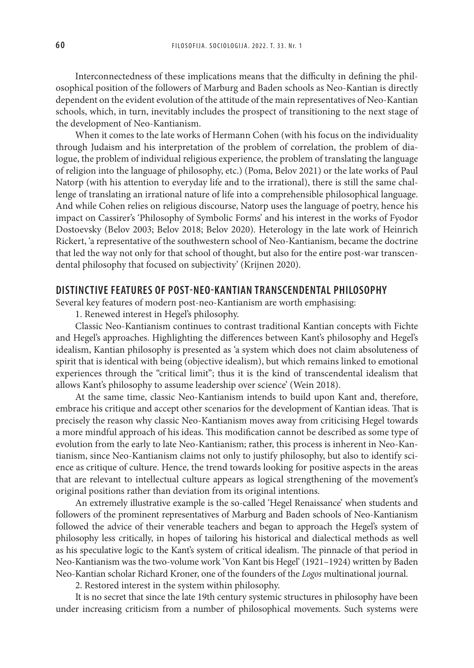Interconnectedness of these implications means that the difficulty in defining the philosophical position of the followers of Marburg and Baden schools as Neo-Kantian is directly dependent on the evident evolution of the attitude of the main representatives of Neo-Kantian schools, which, in turn, inevitably includes the prospect of transitioning to the next stage of the development of Neo-Kantianism.

When it comes to the late works of Hermann Cohen (with his focus on the individuality through Judaism and his interpretation of the problem of correlation, the problem of dialogue, the problem of individual religious experience, the problem of translating the language of religion into the language of philosophy, etc.) (Poma, Belov 2021) or the late works of Paul Natorp (with his attention to everyday life and to the irrational), there is still the same challenge of translating an irrational nature of life into a comprehensible philosophical language. And while Cohen relies on religious discourse, Natorp uses the language of poetry, hence his impact on Cassirer's 'Philosophy of Symbolic Forms' and his interest in the works of Fyodor Dostoevsky (Belov 2003; Belov 2018; Belov 2020). Heterology in the late work of Heinrich Rickert, 'a representative of the southwestern school of Neo-Kantianism, became the doctrine that led the way not only for that school of thought, but also for the entire post-war transcendental philosophy that focused on subjectivity' (Krijnen 2020).

# **DISTINCTIVE FEATURES OF POST-NEO-KANTIAN TRANSCENDENTAL PHILOSOPHY**

Several key features of modern post-neo-Kantianism are worth emphasising:

1. Renewed interest in Hegel's philosophy.

Classic Neo-Kantianism continues to contrast traditional Kantian concepts with Fichte and Hegel's approaches. Highlighting the differences between Kant's philosophy and Hegel's idealism, Kantian philosophy is presented as 'a system which does not claim absoluteness of spirit that is identical with being (objective idealism), but which remains linked to emotional experiences through the "critical limit"; thus it is the kind of transcendental idealism that allows Kant's philosophy to assume leadership over science' (Wein 2018).

At the same time, classic Neo-Kantianism intends to build upon Kant and, therefore, embrace his critique and accept other scenarios for the development of Kantian ideas. That is precisely the reason why classic Neo-Kantianism moves away from criticising Hegel towards a more mindful approach of his ideas. This modification cannot be described as some type of evolution from the early to late Neo-Kantianism; rather, this process is inherent in Neo-Kantianism, since Neo-Kantianism claims not only to justify philosophy, but also to identify science as critique of culture. Hence, the trend towards looking for positive aspects in the areas that are relevant to intellectual culture appears as logical strengthening of the movement's original positions rather than deviation from its original intentions.

An extremely illustrative example is the so-called 'Hegel Renaissance' when students and followers of the prominent representatives of Marburg and Baden schools of Neo-Kantianism followed the advice of their venerable teachers and began to approach the Hegel's system of philosophy less critically, in hopes of tailoring his historical and dialectical methods as well as his speculative logic to the Kant's system of critical idealism. The pinnacle of that period in Neo-Kantianism was the two-volume work 'Von Kant bis Hegel' (1921–1924) written by Baden Neo-Kantian scholar Richard Kroner, one of the founders of the *Logos* multinational journal.

2. Restored interest in the system within philosophy.

It is no secret that since the late 19th century systemic structures in philosophy have been under increasing criticism from a number of philosophical movements. Such systems were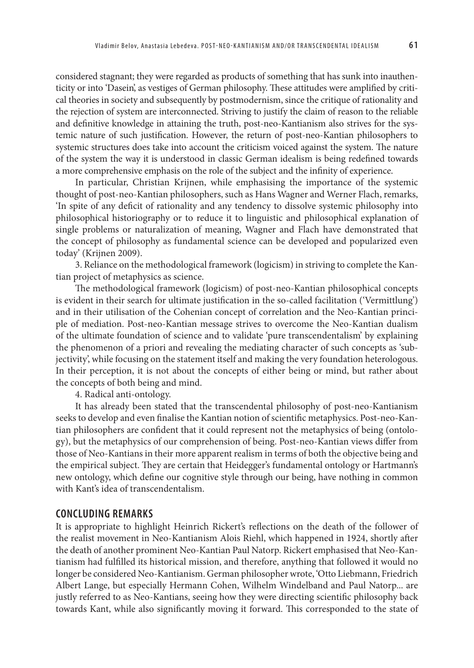considered stagnant; they were regarded as products of something that has sunk into inauthenticity or into 'Dasein', as vestiges of German philosophy. These attitudes were amplified by critical theories in society and subsequently by postmodernism, since the critique of rationality and the rejection of system are interconnected. Striving to justify the claim of reason to the reliable and definitive knowledge in attaining the truth, post-neo-Kantianism also strives for the systemic nature of such justification. However, the return of post-neo-Kantian philosophers to systemic structures does take into account the criticism voiced against the system. The nature of the system the way it is understood in classic German idealism is being redefined towards a more comprehensive emphasis on the role of the subject and the infinity of experience.

In particular, Christian Krijnen, while emphasising the importance of the systemic thought of post-neo-Kantian philosophers, such as Hans Wagner and Werner Flach, remarks, 'In spite of any deficit of rationality and any tendency to dissolve systemic philosophy into philosophical historiography or to reduce it to linguistic and philosophical explanation of single problems or naturalization of meaning, Wagner and Flach have demonstrated that the concept of philosophy as fundamental science can be developed and popularized even today' (Krijnen 2009).

3. Reliance on the methodological framework (logicism) in striving to complete the Kantian project of metaphysics as science.

The methodological framework (logicism) of post-neo-Kantian philosophical concepts is evident in their search for ultimate justification in the so-called facilitation ('Vermittlung') and in their utilisation of the Cohenian concept of correlation and the Neo-Kantian principle of mediation. Post-neo-Kantian message strives to overcome the Neo-Kantian dualism of the ultimate foundation of science and to validate 'pure transcendentalism' by explaining the phenomenon of a priori and revealing the mediating character of such concepts as 'subjectivity', while focusing on the statement itself and making the very foundation heterologous. In their perception, it is not about the concepts of either being or mind, but rather about the concepts of both being and mind.

4. Radical anti-ontology.

It has already been stated that the transcendental philosophy of post-neo-Kantianism seeks to develop and even finalise the Kantian notion of scientific metaphysics. Post-neo-Kantian philosophers are confident that it could represent not the metaphysics of being (ontology), but the metaphysics of our comprehension of being. Post-neo-Kantian views differ from those of Neo-Kantians in their more apparent realism in terms of both the objective being and the empirical subject. They are certain that Heidegger's fundamental ontology or Hartmann's new ontology, which define our cognitive style through our being, have nothing in common with Kant's idea of transcendentalism.

#### **CONCLUDING REMARKS**

It is appropriate to highlight Heinrich Rickert's reflections on the death of the follower of the realist movement in Neo-Kantianism Alois Riehl, which happened in 1924, shortly after the death of another prominent Neo-Kantian Paul Natorp. Rickert emphasised that Neo-Kantianism had fulfilled its historical mission, and therefore, anything that followed it would no longer be considered Neo-Kantianism. German philosopher wrote, 'Otto Liebmann, Friedrich Albert Lange, but especially Hermann Cohen, Wilhelm Windelband and Paul Natorp... are justly referred to as Neo-Kantians, seeing how they were directing scientific philosophy back towards Kant, while also significantly moving it forward. This corresponded to the state of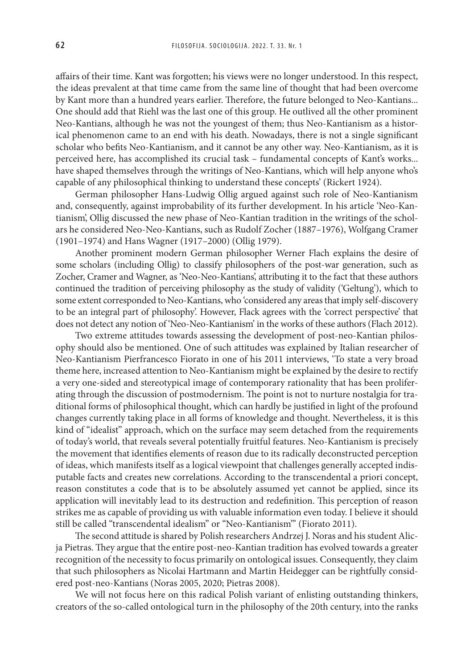affairs of their time. Kant was forgotten; his views were no longer understood. In this respect, the ideas prevalent at that time came from the same line of thought that had been overcome by Kant more than a hundred years earlier. Therefore, the future belonged to Neo-Kantians... One should add that Riehl was the last one of this group. He outlived all the other prominent Neo-Kantians, although he was not the youngest of them; thus Neo-Kantianism as a historical phenomenon came to an end with his death. Nowadays, there is not a single significant scholar who befits Neo-Kantianism, and it cannot be any other way. Neo-Kantianism, as it is perceived here, has accomplished its crucial task – fundamental concepts of Kant's works... have shaped themselves through the writings of Neo-Kantians, which will help anyone who's capable of any philosophical thinking to understand these concepts' (Rickert 1924).

German philosopher Hans-Ludwig Ollig argued against such role of Neo-Kantianism and, consequently, against improbability of its further development. In his article 'Neo-Kantianism', Ollig discussed the new phase of Neo-Kantian tradition in the writings of the scholars he considered Neo-Neo-Kantians, such as Rudolf Zocher (1887–1976), Wolfgang Cramer (1901–1974) and Hans Wagner (1917–2000) (Ollig 1979).

Another prominent modern German philosopher Werner Flach explains the desire of some scholars (including Ollig) to classify philosophers of the post-war generation, such as Zocher, Cramer and Wagner, as 'Neo-Neo-Kantians', attributing it to the fact that these authors continued the tradition of perceiving philosophy as the study of validity ('Geltung'), which to some extent corresponded to Neo-Kantians, who 'considered any areas that imply self-discovery to be an integral part of philosophy'. However, Flack agrees with the 'correct perspective' that does not detect any notion of 'Neo-Neo-Kantianism' in the works of these authors (Flach 2012).

Two extreme attitudes towards assessing the development of post-neo-Kantian philosophy should also be mentioned. One of such attitudes was explained by Italian researcher of Neo-Kantianism Pierfrancesco Fiorato in one of his 2011 interviews, 'To state a very broad theme here, increased attention to Neo-Kantianism might be explained by the desire to rectify a very one-sided and stereotypical image of contemporary rationality that has been proliferating through the discussion of postmodernism. The point is not to nurture nostalgia for traditional forms of philosophical thought, which can hardly be justified in light of the profound changes currently taking place in all forms of knowledge and thought. Nevertheless, it is this kind of "idealist" approach, which on the surface may seem detached from the requirements of today's world, that reveals several potentially fruitful features. Neo-Kantianism is precisely the movement that identifies elements of reason due to its radically deconstructed perception of ideas, which manifests itself as a logical viewpoint that challenges generally accepted indisputable facts and creates new correlations. According to the transcendental a priori concept, reason constitutes a code that is to be absolutely assumed yet cannot be applied, since its application will inevitably lead to its destruction and redefinition. This perception of reason strikes me as capable of providing us with valuable information even today. I believe it should still be called "transcendental idealism" or "Neo-Kantianism"' (Fiorato 2011).

The second attitude is shared by Polish researchers Andrzej J. Noras and his student Alicja Pietras. They argue that the entire post-neo-Kantian tradition has evolved towards a greater recognition of the necessity to focus primarily on ontological issues. Consequently, they claim that such philosophers as Nicolai Hartmann and Martin Heidegger can be rightfully considered post-neo-Kantians (Noras 2005, 2020; Pietras 2008).

We will not focus here on this radical Polish variant of enlisting outstanding thinkers, creators of the so-called ontological turn in the philosophy of the 20th century, into the ranks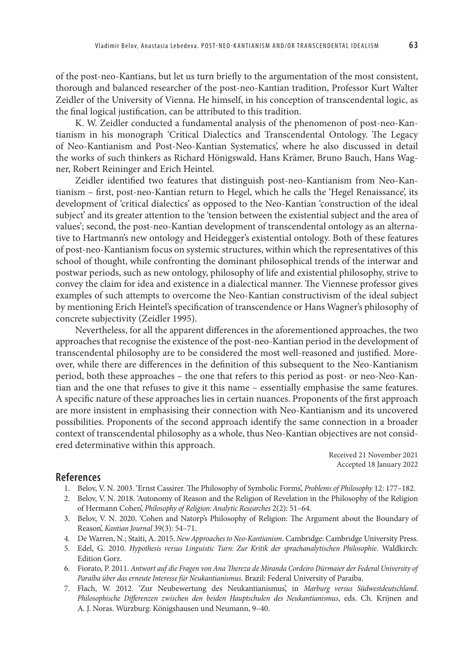of the post-neo-Kantians, but let us turn briefly to the argumentation of the most consistent, thorough and balanced researcher of the post-neo-Kantian tradition, Professor Kurt Walter Zeidler of the University of Vienna. He himself, in his conception of transcendental logic, as the final logical justification, can be attributed to this tradition.

K. W. Zeidler conducted a fundamental analysis of the phenomenon of post-neo-Kantianism in his monograph 'Critical Dialectics and Transcendental Ontology. The Legacy of Neo-Kantianism and Post-Neo-Kantian Systematics', where he also discussed in detail the works of such thinkers as Richard Hönigswald, Hans Krämer, Bruno Bauch, Hans Wagner, Robert Reininger and Erich Heintel.

Zeidler identified two features that distinguish post-neo-Kantianism from Neo-Kantianism – first, post-neo-Kantian return to Hegel, which he calls the 'Hegel Renaissance', its development of 'critical dialectics' as opposed to the Neo-Kantian 'construction of the ideal subject' and its greater attention to the 'tension between the existential subject and the area of values'; second, the post-neo-Kantian development of transcendental ontology as an alternative to Hartmann's new ontology and Heidegger's existential ontology. Both of these features of post-neo-Kantianism focus on systemic structures, within which the representatives of this school of thought, while confronting the dominant philosophical trends of the interwar and postwar periods, such as new ontology, philosophy of life and existential philosophy, strive to convey the claim for idea and existence in a dialectical manner. The Viennese professor gives examples of such attempts to overcome the Neo-Kantian constructivism of the ideal subject by mentioning Erich Heintel's specification of transcendence or Hans Wagner's philosophy of concrete subjectivity (Zeidler 1995).

Nevertheless, for all the apparent differences in the aforementioned approaches, the two approaches that recognise the existence of the post-neo-Kantian period in the development of transcendental philosophy are to be considered the most well-reasoned and justified. Moreover, while there are differences in the definition of this subsequent to the Neo-Kantianism period, both these approaches – the one that refers to this period as post- or neo-Neo-Kantian and the one that refuses to give it this name – essentially emphasise the same features. A specific nature of these approaches lies in certain nuances. Proponents of the first approach are more insistent in emphasising their connection with Neo-Kantianism and its uncovered possibilities. Proponents of the second approach identify the same connection in a broader context of transcendental philosophy as a whole, thus Neo-Kantian objectives are not considered determinative within this approach.

> Received 21 November 2021 Accepted 18 January 2022

## **References**

- 1. Belov, V. N. 2003. 'Ernst Cassirer. The Philosophy of Symbolic Forms', *Problems of Philosophy* 12: 177–182.
- 2. Belov, V. N. 2018. 'Autonomy of Reason and the Religion of Revelation in the Philosophy of the Religion of Hermann Cohen', *Philosophy of Religion: Analytic Researches* 2(2): 51–64.
- 3. Belov, V. N. 2020. 'Cohen and Natorp's Philosophy of Religion: The Argument about the Boundary of Reason', *Kantian Journal* 39(3): 54–71.
- 4. De Warren, N.; Staiti, A. 2015. *New Approaches to Neo-Kantianism*. Cambridge: Cambridge University Press.
- 5. Edel, G. 2010. *Hypothesis versus Linguistic Turn: Zur Kritik der sprachanalytischen Philosophie*. Waldkirch: Edition Gorz.
- 6. Fiorato, P. 2011. *Antwort auf die Fragen von Ana Thereza de Miranda Cordeiro Dürmaier der Federal University of Paraíba über das erneute Interesse für Neukantianismus*. Brazil: Federal University of Paraíba.
- 7. Flach, W. 2012. 'Zur Neubewertung des Neukantianismus', in *Marburg versus Südwestdeutschland. Philosophische Differenzen zwischen den beiden Hauptschulen des Neukantianismus*, eds. Ch. Krijnen and A. J. Noras. Würzburg: Königshausen und Neumann, 9–40.